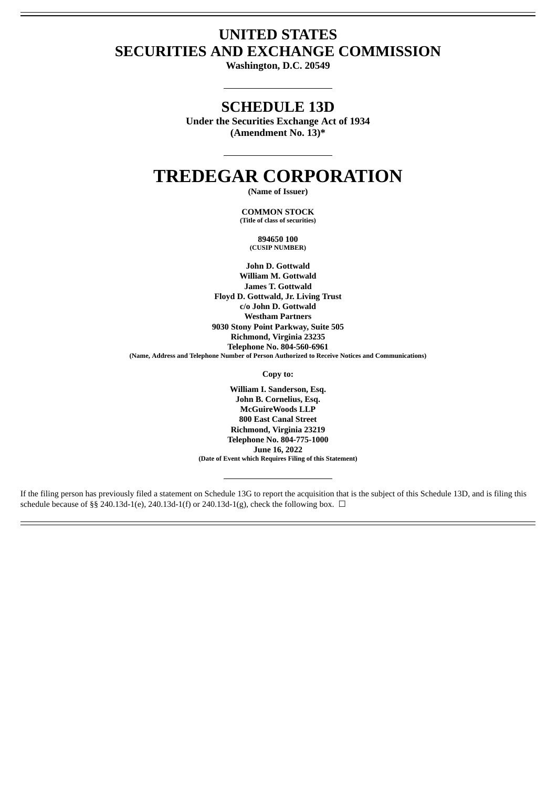## **UNITED STATES SECURITIES AND EXCHANGE COMMISSION**

**Washington, D.C. 20549**

### **SCHEDULE 13D**

**Under the Securities Exchange Act of 1934 (Amendment No. 13)\***

# **TREDEGAR CORPORATION**

**(Name of Issuer)**

**COMMON STOCK (Title of class of securities)**

> **894650 100 (CUSIP NUMBER)**

**John D. Gottwald William M. Gottwald James T. Gottwald Floyd D. Gottwald, Jr. Living Trust c/o John D. Gottwald Westham Partners 9030 Stony Point Parkway, Suite 505 Richmond, Virginia 23235 Telephone No. 804-560-6961 (Name, Address and Telephone Number of Person Authorized to Receive Notices and Communications)**

**Copy to:**

**William I. Sanderson, Esq. John B. Cornelius, Esq. McGuireWoods LLP 800 East Canal Street Richmond, Virginia 23219 Telephone No. 804-775-1000 June 16, 2022 (Date of Event which Requires Filing of this Statement)**

If the filing person has previously filed a statement on Schedule 13G to report the acquisition that is the subject of this Schedule 13D, and is filing this schedule because of §§ 240.13d-1(e), 240.13d-1(f) or 240.13d-1(g), check the following box.  $\Box$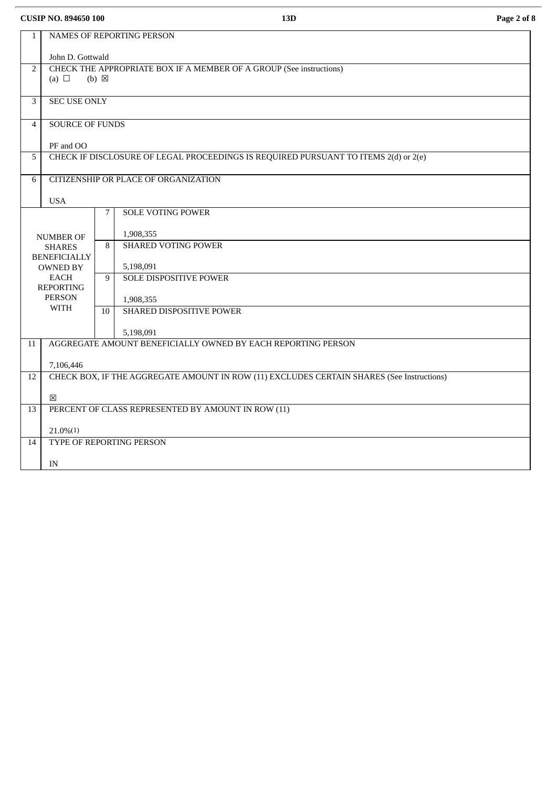**CUSIP NO. 894650 100 13D Page 2 of 8**

| $\mathbf{1}$   |                                                                                     |                 | NAMES OF REPORTING PERSON                                                                 |  |  |  |
|----------------|-------------------------------------------------------------------------------------|-----------------|-------------------------------------------------------------------------------------------|--|--|--|
|                |                                                                                     |                 |                                                                                           |  |  |  |
|                | John D. Gottwald                                                                    |                 |                                                                                           |  |  |  |
| 2              |                                                                                     |                 | CHECK THE APPROPRIATE BOX IF A MEMBER OF A GROUP (See instructions)                       |  |  |  |
|                | (a) $\Box$                                                                          | $(b) \boxtimes$ |                                                                                           |  |  |  |
| 3              | <b>SEC USE ONLY</b>                                                                 |                 |                                                                                           |  |  |  |
|                |                                                                                     |                 |                                                                                           |  |  |  |
| $\overline{4}$ | <b>SOURCE OF FUNDS</b>                                                              |                 |                                                                                           |  |  |  |
|                | PF and OO                                                                           |                 |                                                                                           |  |  |  |
| 5              | CHECK IF DISCLOSURE OF LEGAL PROCEEDINGS IS REQUIRED PURSUANT TO ITEMS 2(d) or 2(e) |                 |                                                                                           |  |  |  |
|                |                                                                                     |                 |                                                                                           |  |  |  |
| 6              | CITIZENSHIP OR PLACE OF ORGANIZATION                                                |                 |                                                                                           |  |  |  |
|                | <b>USA</b>                                                                          |                 |                                                                                           |  |  |  |
|                |                                                                                     | 7               | <b>SOLE VOTING POWER</b>                                                                  |  |  |  |
|                |                                                                                     |                 |                                                                                           |  |  |  |
|                | <b>NUMBER OF</b>                                                                    |                 | 1,908,355                                                                                 |  |  |  |
|                | <b>SHARES</b>                                                                       | 8               | <b>SHARED VOTING POWER</b>                                                                |  |  |  |
|                | <b>BENEFICIALLY</b><br><b>OWNED BY</b>                                              |                 | 5,198,091                                                                                 |  |  |  |
|                | <b>EACH</b>                                                                         | 9               | <b>SOLE DISPOSITIVE POWER</b>                                                             |  |  |  |
|                | <b>REPORTING</b>                                                                    |                 |                                                                                           |  |  |  |
|                | <b>PERSON</b>                                                                       |                 | 1,908,355                                                                                 |  |  |  |
|                | <b>WITH</b>                                                                         | 10              | SHARED DISPOSITIVE POWER                                                                  |  |  |  |
|                |                                                                                     |                 | 5,198,091                                                                                 |  |  |  |
| 11             |                                                                                     |                 | AGGREGATE AMOUNT BENEFICIALLY OWNED BY EACH REPORTING PERSON                              |  |  |  |
|                |                                                                                     |                 |                                                                                           |  |  |  |
|                | 7,106,446                                                                           |                 |                                                                                           |  |  |  |
| 12             |                                                                                     |                 | CHECK BOX, IF THE AGGREGATE AMOUNT IN ROW (11) EXCLUDES CERTAIN SHARES (See Instructions) |  |  |  |
|                | ⊠                                                                                   |                 |                                                                                           |  |  |  |
| 13             |                                                                                     |                 | PERCENT OF CLASS REPRESENTED BY AMOUNT IN ROW (11)                                        |  |  |  |
|                | $21.0\%(1)$                                                                         |                 |                                                                                           |  |  |  |
| 14             | TYPE OF REPORTING PERSON                                                            |                 |                                                                                           |  |  |  |
|                |                                                                                     |                 |                                                                                           |  |  |  |
|                | IN                                                                                  |                 |                                                                                           |  |  |  |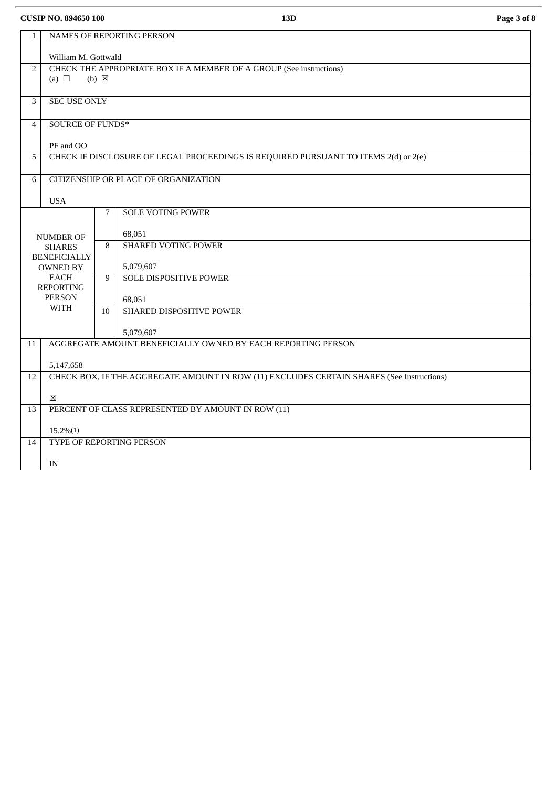**CUSIP NO. 894650 100 13D Page 3 of 8**

| $\mathbf{1}$   |                                                    |                 |                                                                                           |  |  |  |  |  |
|----------------|----------------------------------------------------|-----------------|-------------------------------------------------------------------------------------------|--|--|--|--|--|
|                | NAMES OF REPORTING PERSON                          |                 |                                                                                           |  |  |  |  |  |
|                | William M. Gottwald                                |                 |                                                                                           |  |  |  |  |  |
| 2              |                                                    |                 | CHECK THE APPROPRIATE BOX IF A MEMBER OF A GROUP (See instructions)                       |  |  |  |  |  |
|                | (a) $\Box$                                         | $(b) \boxtimes$ |                                                                                           |  |  |  |  |  |
|                |                                                    |                 |                                                                                           |  |  |  |  |  |
| 3              | <b>SEC USE ONLY</b>                                |                 |                                                                                           |  |  |  |  |  |
| $\overline{4}$ | <b>SOURCE OF FUNDS*</b>                            |                 |                                                                                           |  |  |  |  |  |
|                |                                                    |                 |                                                                                           |  |  |  |  |  |
|                | PF and OO                                          |                 |                                                                                           |  |  |  |  |  |
| 5              |                                                    |                 | CHECK IF DISCLOSURE OF LEGAL PROCEEDINGS IS REQUIRED PURSUANT TO ITEMS 2(d) or 2(e)       |  |  |  |  |  |
|                |                                                    |                 | CITIZENSHIP OR PLACE OF ORGANIZATION                                                      |  |  |  |  |  |
| 6              |                                                    |                 |                                                                                           |  |  |  |  |  |
|                | <b>USA</b>                                         |                 |                                                                                           |  |  |  |  |  |
|                |                                                    | 7               | <b>SOLE VOTING POWER</b>                                                                  |  |  |  |  |  |
|                |                                                    |                 |                                                                                           |  |  |  |  |  |
|                | <b>NUMBER OF</b>                                   |                 | 68,051                                                                                    |  |  |  |  |  |
|                | <b>SHARES</b>                                      | 8               | <b>SHARED VOTING POWER</b>                                                                |  |  |  |  |  |
|                | <b>BENEFICIALLY</b>                                |                 |                                                                                           |  |  |  |  |  |
|                | <b>OWNED BY</b><br><b>EACH</b>                     |                 | 5,079,607                                                                                 |  |  |  |  |  |
|                | <b>REPORTING</b>                                   | 9               | <b>SOLE DISPOSITIVE POWER</b>                                                             |  |  |  |  |  |
|                | <b>PERSON</b>                                      |                 | 68,051                                                                                    |  |  |  |  |  |
|                | <b>WITH</b>                                        | 10 <sup>1</sup> | <b>SHARED DISPOSITIVE POWER</b>                                                           |  |  |  |  |  |
|                |                                                    |                 |                                                                                           |  |  |  |  |  |
|                |                                                    |                 | 5,079,607                                                                                 |  |  |  |  |  |
| 11             |                                                    |                 | AGGREGATE AMOUNT BENEFICIALLY OWNED BY EACH REPORTING PERSON                              |  |  |  |  |  |
|                |                                                    |                 |                                                                                           |  |  |  |  |  |
|                | 5,147,658                                          |                 |                                                                                           |  |  |  |  |  |
| 12             |                                                    |                 | CHECK BOX, IF THE AGGREGATE AMOUNT IN ROW (11) EXCLUDES CERTAIN SHARES (See Instructions) |  |  |  |  |  |
|                | 冈                                                  |                 |                                                                                           |  |  |  |  |  |
| 13             | PERCENT OF CLASS REPRESENTED BY AMOUNT IN ROW (11) |                 |                                                                                           |  |  |  |  |  |
|                |                                                    |                 |                                                                                           |  |  |  |  |  |
|                | $15.2\%/1$                                         |                 |                                                                                           |  |  |  |  |  |
| 14             | <b>TYPE OF REPORTING PERSON</b>                    |                 |                                                                                           |  |  |  |  |  |
|                |                                                    |                 |                                                                                           |  |  |  |  |  |
|                | IN                                                 |                 |                                                                                           |  |  |  |  |  |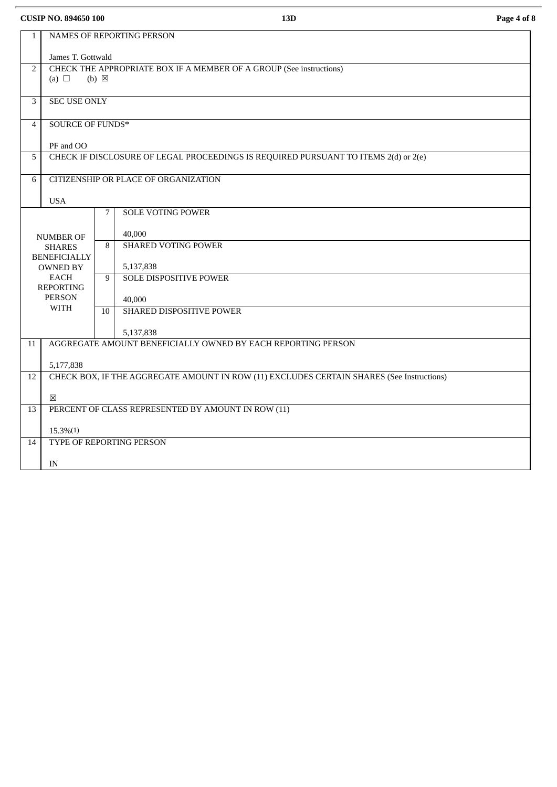**CUSIP NO. 894650 100 13D Page 4 of 8**

| $\mathbf{1}$   | NAMES OF REPORTING PERSON                                                                 |                 |                                                              |  |  |  |  |
|----------------|-------------------------------------------------------------------------------------------|-----------------|--------------------------------------------------------------|--|--|--|--|
|                | James T. Gottwald                                                                         |                 |                                                              |  |  |  |  |
| 2              | CHECK THE APPROPRIATE BOX IF A MEMBER OF A GROUP (See instructions)<br>$(b) \boxtimes$    |                 |                                                              |  |  |  |  |
|                | (a) $\Box$                                                                                |                 |                                                              |  |  |  |  |
| 3              | <b>SEC USE ONLY</b>                                                                       |                 |                                                              |  |  |  |  |
| $\overline{4}$ | <b>SOURCE OF FUNDS*</b>                                                                   |                 |                                                              |  |  |  |  |
|                | PF and OO                                                                                 |                 |                                                              |  |  |  |  |
| 5              | CHECK IF DISCLOSURE OF LEGAL PROCEEDINGS IS REQUIRED PURSUANT TO ITEMS 2(d) or 2(e)       |                 |                                                              |  |  |  |  |
| 6              | CITIZENSHIP OR PLACE OF ORGANIZATION                                                      |                 |                                                              |  |  |  |  |
|                | <b>USA</b>                                                                                |                 |                                                              |  |  |  |  |
|                |                                                                                           | 7               | <b>SOLE VOTING POWER</b>                                     |  |  |  |  |
|                | <b>NUMBER OF</b>                                                                          |                 | 40,000                                                       |  |  |  |  |
|                | <b>SHARES</b>                                                                             | 8               | <b>SHARED VOTING POWER</b>                                   |  |  |  |  |
|                | <b>BENEFICIALLY</b><br><b>OWNED BY</b>                                                    |                 | 5,137,838                                                    |  |  |  |  |
|                | <b>EACH</b><br><b>REPORTING</b>                                                           | 9               | <b>SOLE DISPOSITIVE POWER</b>                                |  |  |  |  |
|                | <b>PERSON</b>                                                                             |                 | 40,000                                                       |  |  |  |  |
|                | <b>WITH</b>                                                                               | 10 <sup>1</sup> | SHARED DISPOSITIVE POWER                                     |  |  |  |  |
|                |                                                                                           |                 | 5,137,838                                                    |  |  |  |  |
| 11             |                                                                                           |                 | AGGREGATE AMOUNT BENEFICIALLY OWNED BY EACH REPORTING PERSON |  |  |  |  |
|                | 5,177,838                                                                                 |                 |                                                              |  |  |  |  |
| 12             | CHECK BOX, IF THE AGGREGATE AMOUNT IN ROW (11) EXCLUDES CERTAIN SHARES (See Instructions) |                 |                                                              |  |  |  |  |
|                | 冈                                                                                         |                 |                                                              |  |  |  |  |
| 13             | PERCENT OF CLASS REPRESENTED BY AMOUNT IN ROW (11)                                        |                 |                                                              |  |  |  |  |
|                | $15.3\%/1$                                                                                |                 |                                                              |  |  |  |  |
| 14             | TYPE OF REPORTING PERSON                                                                  |                 |                                                              |  |  |  |  |
|                | IN                                                                                        |                 |                                                              |  |  |  |  |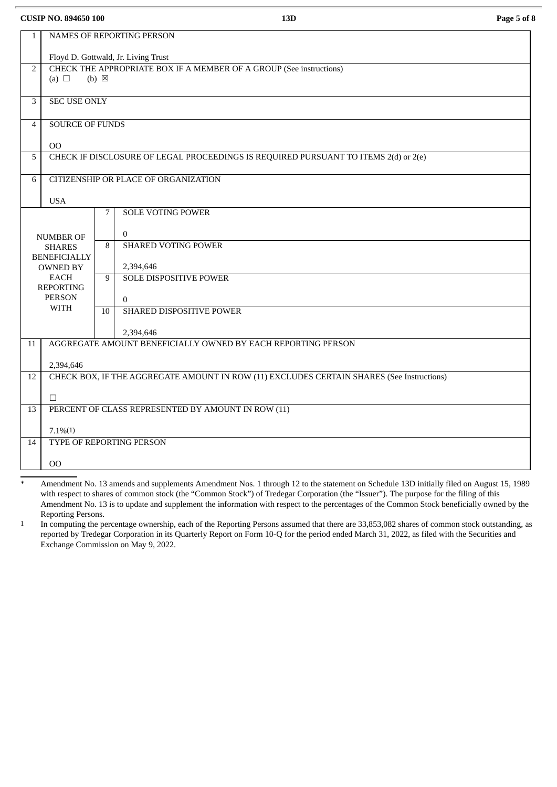**CUSIP NO. 894650 100 13D Page 5 of 8**

| $\mathbf{1}$   | NAMES OF REPORTING PERSON                                                                 |                 |                                                                                     |  |  |  |  |
|----------------|-------------------------------------------------------------------------------------------|-----------------|-------------------------------------------------------------------------------------|--|--|--|--|
|                | Floyd D. Gottwald, Jr. Living Trust                                                       |                 |                                                                                     |  |  |  |  |
| $\overline{2}$ | CHECK THE APPROPRIATE BOX IF A MEMBER OF A GROUP (See instructions)                       |                 |                                                                                     |  |  |  |  |
|                | (a) $\Box$                                                                                | $(b) \boxtimes$ |                                                                                     |  |  |  |  |
|                |                                                                                           |                 |                                                                                     |  |  |  |  |
| 3              | <b>SEC USE ONLY</b>                                                                       |                 |                                                                                     |  |  |  |  |
| $\overline{4}$ | <b>SOURCE OF FUNDS</b>                                                                    |                 |                                                                                     |  |  |  |  |
|                |                                                                                           |                 |                                                                                     |  |  |  |  |
|                | <sub>OO</sub>                                                                             |                 |                                                                                     |  |  |  |  |
| 5              |                                                                                           |                 | CHECK IF DISCLOSURE OF LEGAL PROCEEDINGS IS REQUIRED PURSUANT TO ITEMS 2(d) or 2(e) |  |  |  |  |
| 6              |                                                                                           |                 | CITIZENSHIP OR PLACE OF ORGANIZATION                                                |  |  |  |  |
|                |                                                                                           |                 |                                                                                     |  |  |  |  |
|                | <b>USA</b>                                                                                |                 |                                                                                     |  |  |  |  |
|                |                                                                                           | 7               | <b>SOLE VOTING POWER</b>                                                            |  |  |  |  |
|                |                                                                                           |                 |                                                                                     |  |  |  |  |
|                | <b>NUMBER OF</b>                                                                          |                 | $\mathbf{0}$                                                                        |  |  |  |  |
|                | <b>SHARES</b>                                                                             | 8               | <b>SHARED VOTING POWER</b>                                                          |  |  |  |  |
|                | <b>BENEFICIALLY</b><br><b>OWNED BY</b>                                                    |                 | 2,394,646                                                                           |  |  |  |  |
|                | <b>EACH</b>                                                                               | 9               | <b>SOLE DISPOSITIVE POWER</b>                                                       |  |  |  |  |
|                | <b>REPORTING</b>                                                                          |                 |                                                                                     |  |  |  |  |
|                | <b>PERSON</b>                                                                             |                 | $\Omega$                                                                            |  |  |  |  |
|                | <b>WITH</b>                                                                               | 10              | SHARED DISPOSITIVE POWER                                                            |  |  |  |  |
|                |                                                                                           |                 |                                                                                     |  |  |  |  |
| 2,394,646      |                                                                                           |                 |                                                                                     |  |  |  |  |
| 11             | AGGREGATE AMOUNT BENEFICIALLY OWNED BY EACH REPORTING PERSON                              |                 |                                                                                     |  |  |  |  |
|                | 2,394,646                                                                                 |                 |                                                                                     |  |  |  |  |
| 12             | CHECK BOX, IF THE AGGREGATE AMOUNT IN ROW (11) EXCLUDES CERTAIN SHARES (See Instructions) |                 |                                                                                     |  |  |  |  |
|                |                                                                                           |                 |                                                                                     |  |  |  |  |
|                | $\Box$                                                                                    |                 |                                                                                     |  |  |  |  |
| 13             |                                                                                           |                 | PERCENT OF CLASS REPRESENTED BY AMOUNT IN ROW (11)                                  |  |  |  |  |
|                |                                                                                           |                 |                                                                                     |  |  |  |  |
| 14             | $7.1\%/1)$                                                                                |                 |                                                                                     |  |  |  |  |
|                | TYPE OF REPORTING PERSON                                                                  |                 |                                                                                     |  |  |  |  |
|                | $_{\rm OO}$                                                                               |                 |                                                                                     |  |  |  |  |
|                |                                                                                           |                 |                                                                                     |  |  |  |  |

Amendment No. 13 amends and supplements Amendment Nos. 1 through 12 to the statement on Schedule 13D initially filed on August 15, 1989 with respect to shares of common stock (the "Common Stock") of Tredegar Corporation (the "Issuer"). The purpose for the filing of this Amendment No. 13 is to update and supplement the information with respect to the percentages of the Common Stock beneficially owned by the Reporting Persons.

1 In computing the percentage ownership, each of the Reporting Persons assumed that there are 33,853,082 shares of common stock outstanding, as reported by Tredegar Corporation in its Quarterly Report on Form 10-Q for the period ended March 31, 2022, as filed with the Securities and Exchange Commission on May 9, 2022.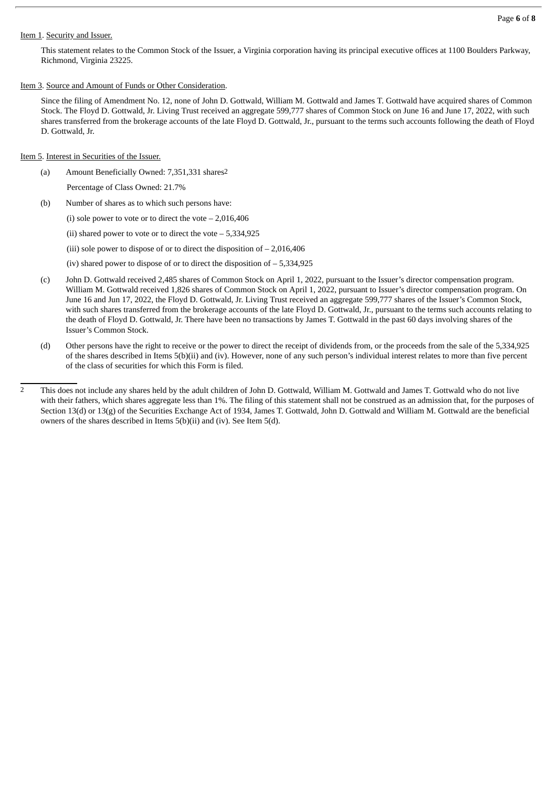#### Item 1. Security and Issuer.

This statement relates to the Common Stock of the Issuer, a Virginia corporation having its principal executive offices at 1100 Boulders Parkway, Richmond, Virginia 23225.

Item 3. Source and Amount of Funds or Other Consideration.

Since the filing of Amendment No. 12, none of John D. Gottwald, William M. Gottwald and James T. Gottwald have acquired shares of Common Stock. The Floyd D. Gottwald, Jr. Living Trust received an aggregate 599,777 shares of Common Stock on June 16 and June 17, 2022, with such shares transferred from the brokerage accounts of the late Floyd D. Gottwald, Jr., pursuant to the terms such accounts following the death of Floyd D. Gottwald, Jr.

#### Item 5. Interest in Securities of the Issuer.

- (a) Amount Beneficially Owned: 7,351,331 shares2
	- Percentage of Class Owned: 21.7%
- (b) Number of shares as to which such persons have:
	- (i) sole power to vote or to direct the vote  $-2.016,406$
	- (ii) shared power to vote or to direct the vote  $-5,334,925$
	- (iii) sole power to dispose of or to direct the disposition of  $-2,016,406$
	- (iv) shared power to dispose of or to direct the disposition of  $-5,334,925$
- (c) John D. Gottwald received 2,485 shares of Common Stock on April 1, 2022, pursuant to the Issuer's director compensation program. William M. Gottwald received 1,826 shares of Common Stock on April 1, 2022, pursuant to Issuer's director compensation program. On June 16 and Jun 17, 2022, the Floyd D. Gottwald, Jr. Living Trust received an aggregate 599,777 shares of the Issuer's Common Stock, with such shares transferred from the brokerage accounts of the late Floyd D. Gottwald, Jr., pursuant to the terms such accounts relating to the death of Floyd D. Gottwald, Jr. There have been no transactions by James T. Gottwald in the past 60 days involving shares of the Issuer's Common Stock.
- (d) Other persons have the right to receive or the power to direct the receipt of dividends from, or the proceeds from the sale of the 5,334,925 of the shares described in Items 5(b)(ii) and (iv). However, none of any such person's individual interest relates to more than five percent of the class of securities for which this Form is filed.

<sup>2</sup> This does not include any shares held by the adult children of John D. Gottwald, William M. Gottwald and James T. Gottwald who do not live with their fathers, which shares aggregate less than 1%. The filing of this statement shall not be construed as an admission that, for the purposes of Section 13(d) or 13(g) of the Securities Exchange Act of 1934, James T. Gottwald, John D. Gottwald and William M. Gottwald are the beneficial owners of the shares described in Items 5(b)(ii) and (iv). See Item 5(d).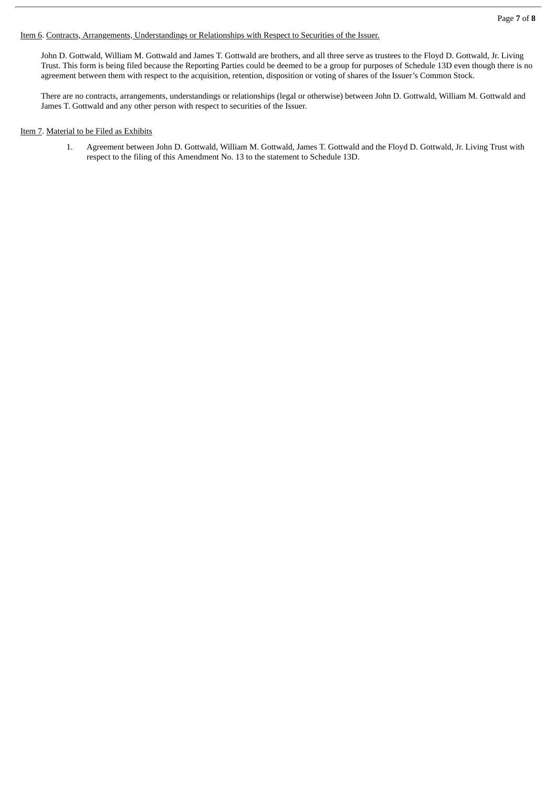Item 6. Contracts, Arrangements, Understandings or Relationships with Respect to Securities of the Issuer.

John D. Gottwald, William M. Gottwald and James T. Gottwald are brothers, and all three serve as trustees to the Floyd D. Gottwald, Jr. Living Trust. This form is being filed because the Reporting Parties could be deemed to be a group for purposes of Schedule 13D even though there is no agreement between them with respect to the acquisition, retention, disposition or voting of shares of the Issuer's Common Stock.

There are no contracts, arrangements, understandings or relationships (legal or otherwise) between John D. Gottwald, William M. Gottwald and James T. Gottwald and any other person with respect to securities of the Issuer.

#### Item 7. Material to be Filed as Exhibits

1. Agreement between John D. Gottwald, William M. Gottwald, James T. Gottwald and the Floyd D. Gottwald, Jr. Living Trust with respect to the filing of this Amendment No. 13 to the statement to Schedule 13D.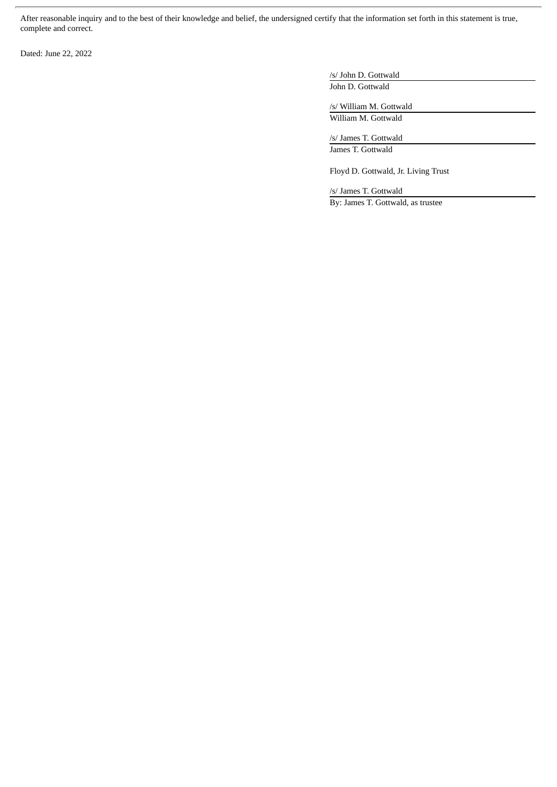After reasonable inquiry and to the best of their knowledge and belief, the undersigned certify that the information set forth in this statement is true, complete and correct.

Dated: June 22, 2022

/s/ John D. Gottwald John D. Gottwald

/s/ William M. Gottwald William M. Gottwald

/s/ James T. Gottwald James T. Gottwald

Floyd D. Gottwald, Jr. Living Trust

/s/ James T. Gottwald By: James T. Gottwald, as trustee